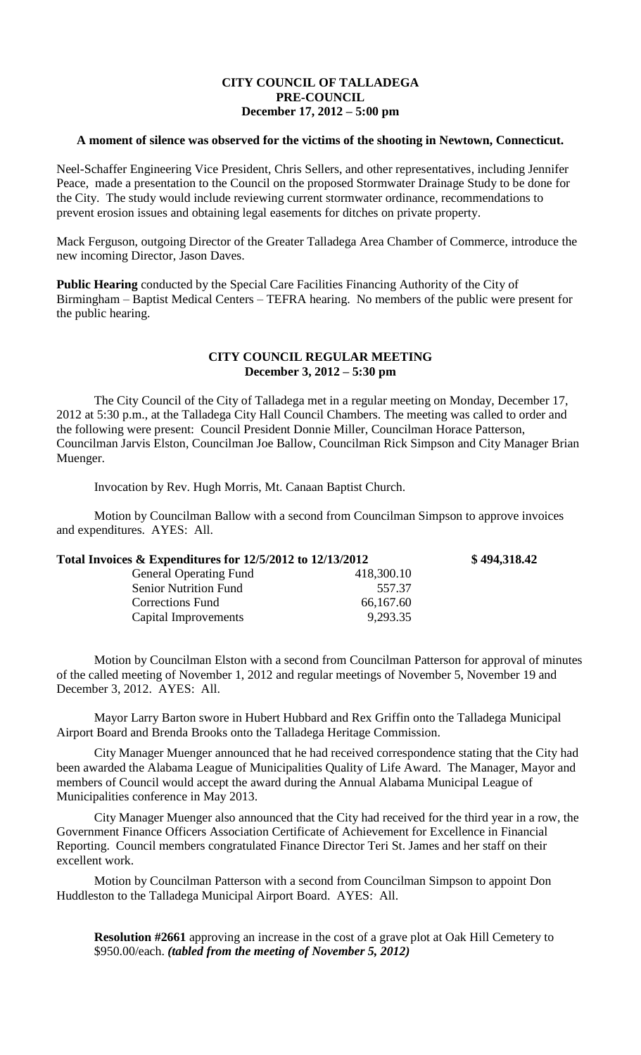## **CITY COUNCIL OF TALLADEGA PRE-COUNCIL December 17, 2012 – 5:00 pm**

## **A moment of silence was observed for the victims of the shooting in Newtown, Connecticut.**

Neel-Schaffer Engineering Vice President, Chris Sellers, and other representatives, including Jennifer Peace, made a presentation to the Council on the proposed Stormwater Drainage Study to be done for the City. The study would include reviewing current stormwater ordinance, recommendations to prevent erosion issues and obtaining legal easements for ditches on private property.

Mack Ferguson, outgoing Director of the Greater Talladega Area Chamber of Commerce, introduce the new incoming Director, Jason Daves.

**Public Hearing** conducted by the Special Care Facilities Financing Authority of the City of Birmingham – Baptist Medical Centers – TEFRA hearing. No members of the public were present for the public hearing.

## **CITY COUNCIL REGULAR MEETING December 3, 2012 – 5:30 pm**

The City Council of the City of Talladega met in a regular meeting on Monday, December 17, 2012 at 5:30 p.m., at the Talladega City Hall Council Chambers. The meeting was called to order and the following were present: Council President Donnie Miller, Councilman Horace Patterson, Councilman Jarvis Elston, Councilman Joe Ballow, Councilman Rick Simpson and City Manager Brian Muenger.

Invocation by Rev. Hugh Morris, Mt. Canaan Baptist Church.

Motion by Councilman Ballow with a second from Councilman Simpson to approve invoices and expenditures. AYES: All.

| Total Invoices $\&$ Expenditures for 12/5/2012 to 12/13/2012 |            | \$494,318.42 |
|--------------------------------------------------------------|------------|--------------|
| <b>General Operating Fund</b>                                | 418,300.10 |              |
| <b>Senior Nutrition Fund</b>                                 | 557.37     |              |
| Corrections Fund                                             | 66,167.60  |              |
| Capital Improvements                                         | 9,293.35   |              |

Motion by Councilman Elston with a second from Councilman Patterson for approval of minutes of the called meeting of November 1, 2012 and regular meetings of November 5, November 19 and December 3, 2012. AYES: All.

Mayor Larry Barton swore in Hubert Hubbard and Rex Griffin onto the Talladega Municipal Airport Board and Brenda Brooks onto the Talladega Heritage Commission.

City Manager Muenger announced that he had received correspondence stating that the City had been awarded the Alabama League of Municipalities Quality of Life Award. The Manager, Mayor and members of Council would accept the award during the Annual Alabama Municipal League of Municipalities conference in May 2013.

City Manager Muenger also announced that the City had received for the third year in a row, the Government Finance Officers Association Certificate of Achievement for Excellence in Financial Reporting. Council members congratulated Finance Director Teri St. James and her staff on their excellent work.

Motion by Councilman Patterson with a second from Councilman Simpson to appoint Don Huddleston to the Talladega Municipal Airport Board. AYES: All.

**Resolution #2661** approving an increase in the cost of a grave plot at Oak Hill Cemetery to \$950.00/each. *(tabled from the meeting of November 5, 2012)*